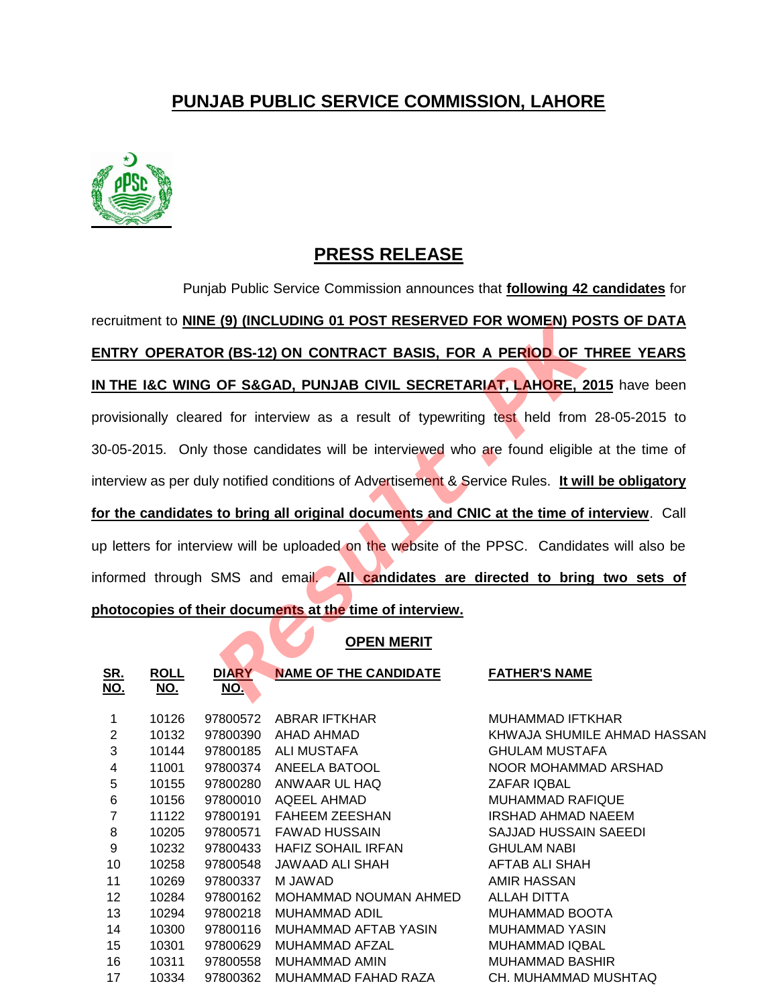## **PUNJAB PUBLIC SERVICE COMMISSION, LAHORE**



## **PRESS RELEASE**

Punjab Public Service Commission announces that **following 42 candidates** for recruitment to **NINE (9) (INCLUDING 01 POST RESERVED FOR WOMEN) POSTS OF DATA ENTRY OPERATOR (BS-12) ON CONTRACT BASIS, FOR A PERIOD OF THREE YEARS IN THE I&C WING OF S&GAD, PUNJAB CIVIL SECRETARIAT, LAHORE, 2015** have been provisionally cleared for interview as a result of typewriting test held from 28-05-2015 to 30-05-2015. Only those candidates will be interviewed who are found eligible at the time of interview as per duly notified conditions of Advertisement & Service Rules. **It will be obligatory for the candidates to bring all original documents and CNIC at the time of interview**. Call up letters for interview will be uploaded on the website of the PPSC. Candidates will also be informed through SMS and email. **All candidates are directed to bring two sets of photocopies of their documents at the time of interview.** R (BS-12) ON CONTRACT BASIS, FOR A PERIOD OF T<br>OF S&GAD, PUNJAB CIVIL SECRETARIAT, LAHORE, 20<br>d for interview as a result of typewriting test held from<br>those candidates will be interviewed who are found eligible<br>rotified c

## **OPEN MERIT**

| <u>SR.</u><br><u>NO.</u> | <b>ROLL</b><br><u>NO.</u> | <b>DIARY</b><br><u>NO.</u> | <b>NAME OF THE CANDIDATE</b> | <b>FATHER'S NAME</b>        |
|--------------------------|---------------------------|----------------------------|------------------------------|-----------------------------|
| 1                        | 10126                     | 97800572                   | ABRAR IFTKHAR                | MUHAMMAD IFTKHAR            |
| 2                        | 10132                     | 97800390                   | AHAD AHMAD                   | KHWAJA SHUMILE AHMAD HASSAN |
| 3                        | 10144                     | 97800185                   | <b>ALI MUSTAFA</b>           | <b>GHULAM MUSTAFA</b>       |
| 4                        | 11001                     | 97800374                   | ANEELA BATOOL                | NOOR MOHAMMAD ARSHAD        |
| 5                        | 10155                     | 97800280                   | ANWAAR UL HAQ                | ZAFAR IQBAL                 |
| 6                        | 10156                     | 97800010                   | AQEEL AHMAD                  | <b>MUHAMMAD RAFIQUE</b>     |
| 7                        | 11122                     | 97800191                   | <b>FAHEEM ZEESHAN</b>        | IRSHAD AHMAD NAEEM          |
| 8                        | 10205                     | 97800571                   | FAWAD HUSSAIN                | SAJJAD HUSSAIN SAEEDI       |
| 9                        | 10232                     | 97800433                   | <b>HAFIZ SOHAIL IRFAN</b>    | <b>GHULAM NABI</b>          |
| 10                       | 10258                     | 97800548                   | JAWAAD ALI SHAH              | AFTAB ALI SHAH              |
| 11                       | 10269                     | 97800337                   | M JAWAD                      | AMIR HASSAN                 |
| 12                       | 10284                     | 97800162                   | MOHAMMAD NOUMAN AHMED        | ALLAH DITTA                 |
| 13                       | 10294                     | 97800218                   | MUHAMMAD ADIL                | MUHAMMAD BOOTA              |
| 14                       | 10300                     | 97800116                   | MUHAMMAD AFTAB YASIN         | MUHAMMAD YASIN              |
| 15                       | 10301                     | 97800629                   | MUHAMMAD AFZAL               | <b>MUHAMMAD IQBAL</b>       |
| 16                       | 10311                     | 97800558                   | MUHAMMAD AMIN                | <b>MUHAMMAD BASHIR</b>      |
| 17                       | 10334                     | 97800362                   | MUHAMMAD FAHAD RAZA          | CH. MUHAMMAD MUSHTAQ        |